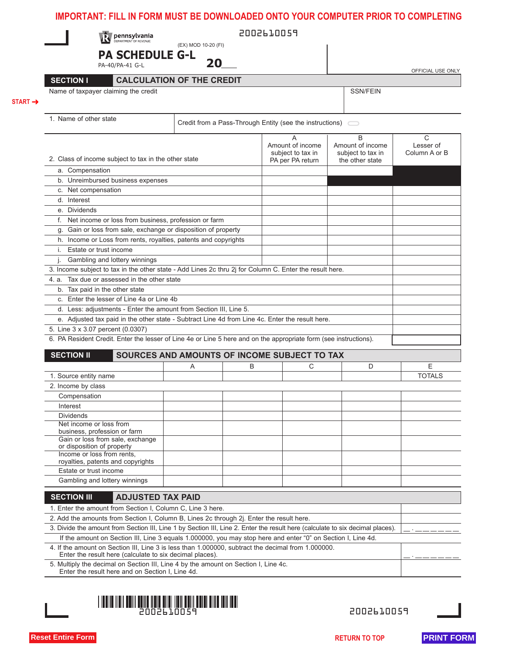| <b>Dennsylvania</b>                                                                                                                                                                                                |                                              |   | 2002610059                                                               |                                       |                            |
|--------------------------------------------------------------------------------------------------------------------------------------------------------------------------------------------------------------------|----------------------------------------------|---|--------------------------------------------------------------------------|---------------------------------------|----------------------------|
|                                                                                                                                                                                                                    | (EX) MOD 10-20 (FI)                          |   |                                                                          |                                       |                            |
| <b>PA SCHEDULE G-L</b><br>PA-40/PA-41 G-L                                                                                                                                                                          | 20                                           |   |                                                                          |                                       |                            |
|                                                                                                                                                                                                                    |                                              |   |                                                                          |                                       | OFFICIAL USE ONLY          |
| <b>SECTION I</b>                                                                                                                                                                                                   | <b>CALCULATION OF THE CREDIT</b>             |   |                                                                          |                                       |                            |
| Name of taxpayer claiming the credit                                                                                                                                                                               |                                              |   |                                                                          | <b>SSN/FEIN</b>                       |                            |
|                                                                                                                                                                                                                    |                                              |   |                                                                          |                                       |                            |
| 1. Name of other state                                                                                                                                                                                             |                                              |   | Credit from a Pass-Through Entity (see the instructions) $\qquad \qquad$ |                                       |                            |
|                                                                                                                                                                                                                    |                                              |   | A                                                                        | B                                     | C                          |
|                                                                                                                                                                                                                    |                                              |   | Amount of income<br>subject to tax in                                    | Amount of income<br>subject to tax in | Lesser of<br>Column A or B |
| 2. Class of income subject to tax in the other state                                                                                                                                                               |                                              |   | PA per PA return                                                         | the other state                       |                            |
| a. Compensation                                                                                                                                                                                                    |                                              |   |                                                                          |                                       |                            |
| b. Unreimbursed business expenses                                                                                                                                                                                  |                                              |   |                                                                          |                                       |                            |
| c. Net compensation                                                                                                                                                                                                |                                              |   |                                                                          |                                       |                            |
| d. Interest                                                                                                                                                                                                        |                                              |   |                                                                          |                                       |                            |
| e. Dividends<br>f. Net income or loss from business, profession or farm                                                                                                                                            |                                              |   |                                                                          |                                       |                            |
| g. Gain or loss from sale, exchange or disposition of property                                                                                                                                                     |                                              |   |                                                                          |                                       |                            |
| h. Income or Loss from rents, royalties, patents and copyrights                                                                                                                                                    |                                              |   |                                                                          |                                       |                            |
| i. Estate or trust income                                                                                                                                                                                          |                                              |   |                                                                          |                                       |                            |
| j. Gambling and lottery winnings                                                                                                                                                                                   |                                              |   |                                                                          |                                       |                            |
| 3. Income subject to tax in the other state - Add Lines 2c thru 2j for Column C. Enter the result here.                                                                                                            |                                              |   |                                                                          |                                       |                            |
| 4. a. Tax due or assessed in the other state                                                                                                                                                                       |                                              |   |                                                                          |                                       |                            |
| b. Tax paid in the other state                                                                                                                                                                                     |                                              |   |                                                                          |                                       |                            |
| c. Enter the lesser of Line 4a or Line 4b<br>d. Less: adjustments - Enter the amount from Section III, Line 5.                                                                                                     |                                              |   |                                                                          |                                       |                            |
| e. Adjusted tax paid in the other state - Subtract Line 4d from Line 4c. Enter the result here.                                                                                                                    |                                              |   |                                                                          |                                       |                            |
| 5. Line 3 x 3.07 percent (0.0307)                                                                                                                                                                                  |                                              |   |                                                                          |                                       |                            |
| 6. PA Resident Credit. Enter the lesser of Line 4e or Line 5 here and on the appropriate form (see instructions).                                                                                                  |                                              |   |                                                                          |                                       |                            |
|                                                                                                                                                                                                                    |                                              |   |                                                                          |                                       |                            |
| <b>SECTION II</b>                                                                                                                                                                                                  | SOURCES AND AMOUNTS OF INCOME SUBJECT TO TAX |   |                                                                          |                                       |                            |
|                                                                                                                                                                                                                    |                                              |   |                                                                          |                                       |                            |
|                                                                                                                                                                                                                    | A                                            | B | С                                                                        | D                                     | E                          |
| 1. Source entity name                                                                                                                                                                                              |                                              |   |                                                                          |                                       |                            |
| 2. Income by class                                                                                                                                                                                                 |                                              |   |                                                                          |                                       |                            |
| Compensation                                                                                                                                                                                                       |                                              |   |                                                                          |                                       |                            |
| Interest                                                                                                                                                                                                           |                                              |   |                                                                          |                                       |                            |
| <b>Dividends</b><br>Net income or loss from                                                                                                                                                                        |                                              |   |                                                                          |                                       |                            |
| business, profession or farm                                                                                                                                                                                       |                                              |   |                                                                          |                                       |                            |
| Gain or loss from sale, exchange<br>or disposition of property                                                                                                                                                     |                                              |   |                                                                          |                                       |                            |
| Income or loss from rents.                                                                                                                                                                                         |                                              |   |                                                                          |                                       |                            |
| royalties, patents and copyrights                                                                                                                                                                                  |                                              |   |                                                                          |                                       |                            |
| Estate or trust income<br>Gambling and lottery winnings                                                                                                                                                            |                                              |   |                                                                          |                                       |                            |
|                                                                                                                                                                                                                    |                                              |   |                                                                          |                                       |                            |
| <b>ADJUSTED TAX PAID</b><br><b>SECTION III</b>                                                                                                                                                                     |                                              |   |                                                                          |                                       |                            |
| 1. Enter the amount from Section I, Column C, Line 3 here.                                                                                                                                                         |                                              |   |                                                                          |                                       |                            |
| 2. Add the amounts from Section I, Column B, Lines 2c through 2j. Enter the result here.                                                                                                                           |                                              |   |                                                                          |                                       |                            |
| 3. Divide the amount from Section III, Line 1 by Section III, Line 2. Enter the result here (calculate to six decimal places).                                                                                     |                                              |   |                                                                          |                                       |                            |
| If the amount on Section III, Line 3 equals 1.000000, you may stop here and enter "0" on Section I, Line 4d.<br>4. If the amount on Section III, Line 3 is less than 1.000000, subtract the decimal from 1.000000. |                                              |   |                                                                          |                                       |                            |
| Enter the result here (calculate to six decimal places).                                                                                                                                                           |                                              |   |                                                                          |                                       |                            |
| 5. Multiply the decimal on Section III, Line 4 by the amount on Section I, Line 4c.<br>Enter the result here and on Section I, Line 4d.                                                                            |                                              |   |                                                                          |                                       |                            |
|                                                                                                                                                                                                                    |                                              |   |                                                                          |                                       |                            |
|                                                                                                                                                                                                                    |                                              |   |                                                                          |                                       | <b>TOTALS</b>              |
| <u>THE REAL PROPERTY OF REAL PROPERTY OF REAL PROPERTY.</u>                                                                                                                                                        | 2002610059                                   |   |                                                                          | 2002610059                            |                            |
|                                                                                                                                                                                                                    |                                              |   |                                                                          |                                       |                            |
| <b>Reset Entire Form</b>                                                                                                                                                                                           |                                              |   |                                                                          | <b>RETURN TO TOP</b>                  | <b>PRINT FORM</b>          |

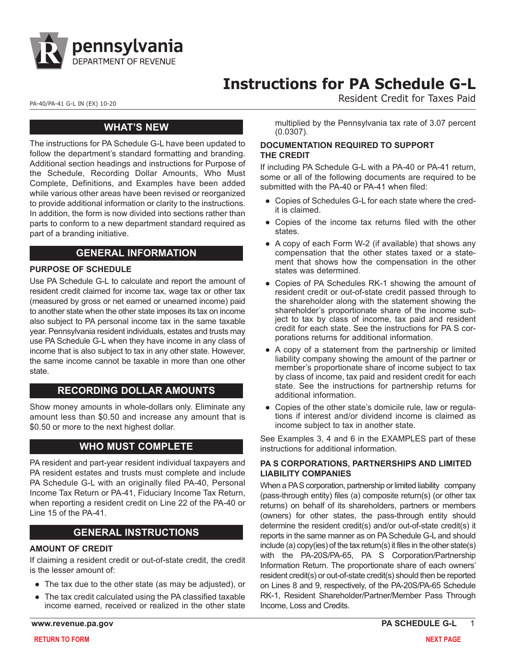

# **Instructions for PA Schedule G-L**

PA-40/PA-41 G-L IN (EX) 10-20<br>
PA-40/PA-41 G-L IN (EX) 10-20

# **WHAT'S NEW**

The instructions for PA Schedule G-L have been updated to follow the department's standard formatting and branding. Additional section headings and instructions for Purpose of the Schedule, Recording Dollar Amounts, Who Must Complete, Definitions, and Examples have been added while various other areas have been revised or reorganized to provide additional information or clarity to the instructions. In addition, the form is now divided into sections rather than parts to conform to a new department standard required as part of a branding initiative.

# **GENERAL INFORMATION**

#### **PURPOSE OF SCHEDULE**

Use PA Schedule G-L to calculate and report the amount of resident credit claimed for income tax, wage tax or other tax (measured by gross or net earned or unearned income) paid to another state when the other state imposes its tax on income also subject to PA personal income tax in the same taxable year. Pennsylvania resident individuals, estates and trusts may use PA Schedule G-L when they have income in any class of income that is also subject to tax in any other state. However, the same income cannot be taxable in more than one other state.

# **RECORDING DOLLAR AMOUNTS**

Show money amounts in whole-dollars only. Eliminate any amount less than \$0.50 and increase any amount that is \$0.50 or more to the next highest dollar.

# **WHO MUST COMPLETE**

PA resident and part-year resident individual taxpayers and PA resident estates and trusts must complete and include PA Schedule G-L with an originally filed PA-40, Personal Income Tax Return or PA-41, Fiduciary Income Tax Return, when reporting a resident credit on Line 22 of the PA-40 or Line 15 of the PA-41.

# **GENERAL INSTRUCTIONS**

#### **AMOUNT OF CREDIT**

If claiming a resident credit or out-of-state credit, the credit is the lesser amount of:

- The tax due to the other state (as may be adjusted), or
- The tax credit calculated using the PA classified taxable income earned, received or realized in the other state

multiplied by the Pennsylvania tax rate of 3.07 percent (0.0307).

#### **DOCUMENTATION REQUIRED TO SUPPORT THE CREDIT**

If including PA Schedule G-L with a PA-40 or PA-41 return, some or all of the following documents are required to be submitted with the PA-40 or PA-41 when filed:

- Copies of Schedules G-L for each state where the credit is claimed.
- Copies of the income tax returns filed with the other states.
- A copy of each Form W-2 (if available) that shows any compensation that the other states taxed or a statement that shows how the compensation in the other states was determined.
- Copies of PA Schedules RK-1 showing the amount of resident credit or out-of-state credit passed through to the shareholder along with the statement showing the shareholder's proportionate share of the income subject to tax by class of income, tax paid and resident credit for each state. See the instructions for PA S corporations returns for additional information.
- A copy of a statement from the partnership or limited liability company showing the amount of the partner or member's proportionate share of income subject to tax by class of income, tax paid and resident credit for each state. See the instructions for partnership returns for additional information.
- Copies of the other state's domicile rule, law or regulations if interest and/or dividend income is claimed as income subject to tax in another state.

See Examples 3, 4 and 6 in the EXAMPLES part of these instructions for additional information.

#### **PA S CORPORATIONS, PARTNERSHIPS AND LIMITED LIABILITY COMPANIES**

When a PA S corporation, partnership or limited liability company (pass-through entity) files (a) composite return(s) (or other tax returns) on behalf of its shareholders, partners or members (owners) for other states, the pass-through entity should determine the resident credit(s) and/or out-of-state credit(s) it reports in the same manner as on PA Schedule G-L and should include (a) copy(ies) of the tax return(s) it files in the other state(s) with the PA-20S/PA-65, PA S Corporation/Partnership Information Return. The proportionate share of each owners' resident credit(s) or out-of-state credit(s) should then be reported on Lines 8 and 9, respectively, of the PA-20S/PA-65 Schedule RK-1, Resident Shareholder/Partner/Member Pass Through Income, Loss and Credits.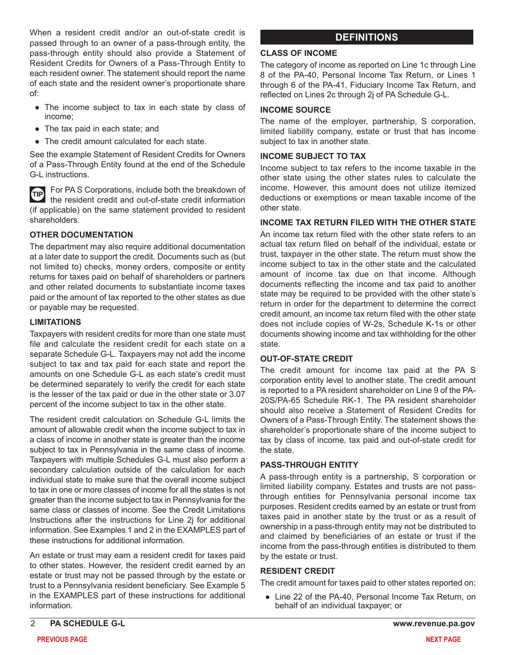When a resident credit and/or an out-of-state credit is passed through to an owner of a pass-through entity, the pass-through entity should also provide a Statement of Resident Credits for Owners of a Pass-Through Entity to each resident owner. The statement should report the name of each state and the resident owner's proportionate share of:

- The income subject to tax in each state by class of income;
- The tax paid in each state; and
- The credit amount calculated for each state.

See the example Statement of Resident Credits for Owners of a Pass-Through Entity found at the end of the Schedule G-L instructions.

For PA S Corporations, include both the breakdown of æ the resident credit and out-of-state credit information (if applicable) on the same statement provided to resident shareholders.

#### **OTHER DOCUMENTATION**

The department may also require additional documentation at a later date to support the credit. Documents such as (but not limited to) checks, money orders, composite or entity returns for taxes paid on behalf of shareholders or partners and other related documents to substantiate income taxes paid or the amount of tax reported to the other states as due or payable may be requested.

#### **LIMITATIONS**

Taxpayers with resident credits for more than one state must file and calculate the resident credit for each state on a separate Schedule G-L. Taxpayers may not add the income subject to tax and tax paid for each state and report the amounts on one Schedule G-L as each state's credit must be determined separately to verify the credit for each state is the lesser of the tax paid or due in the other state or 3.07 percent of the income subject to tax in the other state.

The resident credit calculation on Schedule G-L limits the amount of allowable credit when the income subject to tax in a class of income in another state is greater than the income subject to tax in Pennsylvania in the same class of income. Taxpayers with multiple Schedules G-L must also perform a secondary calculation outside of the calculation for each individual state to make sure that the overall income subject to tax in one or more classes of income for all the states is not greater than the income subject to tax in Pennsylvania for the same class or classes of income. See the Credit Limitations Instructions after the instructions for Line 2j for additional information. See Examples 1 and 2 in the EXAMPLES part of these instructions for additional information.

An estate or trust may earn a resident credit for taxes paid to other states. However, the resident credit earned by an estate or trust may not be passed through by the estate or trust to a Pennsylvania resident beneficiary. See Example 5 in the EXAMPLES part of these instructions for additional information.

# **DEFINITIONS**

#### **CLASS OF INCOME**

The category of income as reported on Line 1c through Line 8 of the PA-40, Personal Income Tax Return, or Lines 1 through 6 of the PA-41, Fiduciary Income Tax Return, and reflected on Lines 2c through 2j of PA Schedule G-L.

#### **INCOME SOURCE**

The name of the employer, partnership, S corporation, limited liability company, estate or trust that has income subject to tax in another state.

#### **INCOME SUBJECT TO TAX**

Income subject to tax refers to the income taxable in the other state using the other states rules to calculate the income. However, this amount does not utilize itemized deductions or exemptions or mean taxable income of the other state.

#### **INCOME TAX RETURN FILED WITH THE OTHER STATE**

An income tax return filed with the other state refers to an actual tax return filed on behalf of the individual, estate or trust, taxpayer in the other state. The return must show the income subject to tax in the other state and the calculated amount of income tax due on that income. Although documents reflecting the income and tax paid to another state may be required to be provided with the other state's return in order for the department to determine the correct credit amount, an income tax return filed with the other state does not include copies of W-2s, Schedule K-1s or other documents showing income and tax withholding for the other state.

#### **OUT-OF-STATE CREDIT**

The credit amount for income tax paid at the PA S corporation entity level to another state. The credit amount is reported to a PA resident shareholder on Line 9 of the PA-20S/PA-65 Schedule RK-1. The PA resident shareholder should also receive a Statement of Resident Credits for Owners of a Pass-Through Entity. The statement shows the shareholder's proportionate share of the income subject to tax by class of income, tax paid and out-of-state credit for the state.

#### **PASS-THROUGH ENTITY**

A pass-through entity is a partnership, S corporation or limited liability company. Estates and trusts are not passthrough entities for Pennsylvania personal income tax purposes. Resident credits earned by an estate or trust from taxes paid in another state by the trust or as a result of ownership in a pass-through entity may not be distributed to and claimed by beneficiaries of an estate or trust if the income from the pass-through entities is distributed to them by the estate or trust.

#### **RESIDENT CREDIT**

The credit amount for taxes paid to other states reported on:

 ● Line 22 of the PA-40, Personal Income Tax Return, on behalf of an individual taxpayer; or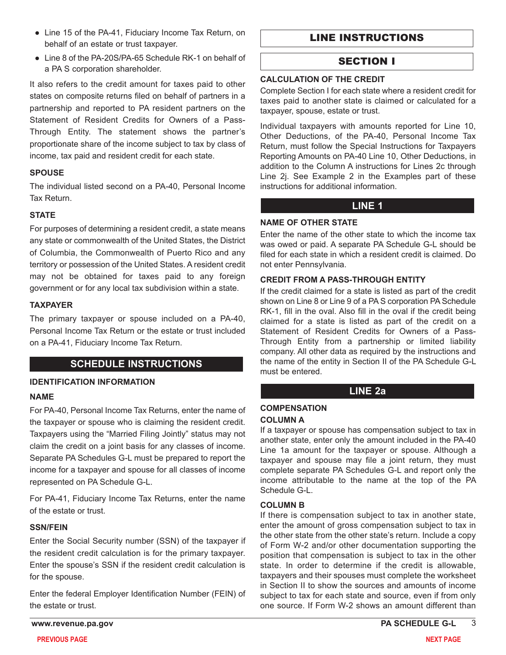- Line 15 of the PA-41, Fiduciary Income Tax Return, on behalf of an estate or trust taxpayer.
- Line 8 of the PA-20S/PA-65 Schedule RK-1 on behalf of a PA S corporation shareholder.

It also refers to the credit amount for taxes paid to other states on composite returns filed on behalf of partners in a partnership and reported to PA resident partners on the Statement of Resident Credits for Owners of a Pass-Through Entity. The statement shows the partner's proportionate share of the income subject to tax by class of income, tax paid and resident credit for each state.

# **SPOUSE**

The individual listed second on a PA-40, Personal Income Tax Return.

# **STATE**

For purposes of determining a resident credit, a state means any state or commonwealth of the United States, the District of Columbia, the Commonwealth of Puerto Rico and any territory or possession of the United States. A resident credit may not be obtained for taxes paid to any foreign government or for any local tax subdivision within a state.

#### **TAXPAYER**

The primary taxpayer or spouse included on a PA-40, Personal Income Tax Return or the estate or trust included on a PA-41, Fiduciary Income Tax Return.

# **SCHEDULE INSTRUCTIONS**

# **IDENTIFICATION INFORMATION**

#### **NAME**

For PA-40, Personal Income Tax Returns, enter the name of the taxpayer or spouse who is claiming the resident credit. Taxpayers using the "Married Filing Jointly" status may not claim the credit on a joint basis for any classes of income. Separate PA Schedules G-L must be prepared to report the income for a taxpayer and spouse for all classes of income represented on PA Schedule G-L.

For PA-41, Fiduciary Income Tax Returns, enter the name of the estate or trust.

#### **SSN/FEIN**

Enter the Social Security number (SSN) of the taxpayer if the resident credit calculation is for the primary taxpayer. Enter the spouse's SSN if the resident credit calculation is for the spouse.

Enter the federal Employer Identification Number (FEIN) of the estate or trust.

# LINE INSTRUCTIONS

# SECTION I

#### **CALCULATION OF THE CREDIT**

Complete Section I for each state where a resident credit for taxes paid to another state is claimed or calculated for a taxpayer, spouse, estate or trust.

Individual taxpayers with amounts reported for Line 10, Other Deductions, of the PA-40, Personal Income Tax Return, must follow the Special Instructions for Taxpayers Reporting Amounts on PA-40 Line 10, Other Deductions, in addition to the Column A instructions for Lines 2c through Line 2j. See Example 2 in the Examples part of these instructions for additional information.

# **LINE 1**

#### **NAME OF OTHER STATE**

Enter the name of the other state to which the income tax was owed or paid. A separate PA Schedule G-L should be filed for each state in which a resident credit is claimed. Do not enter Pennsylvania.

#### **CREDIT FROM A PASS-THROUGH ENTITY**

If the credit claimed for a state is listed as part of the credit shown on Line 8 or Line 9 of a PA S corporation PA Schedule RK-1, fill in the oval. Also fill in the oval if the credit being claimed for a state is listed as part of the credit on a Statement of Resident Credits for Owners of a Pass-Through Entity from a partnership or limited liability company. All other data as required by the instructions and the name of the entity in Section II of the PA Schedule G-L must be entered.

# **LINE 2a**

# **COMPENSATION**

**COLUMN A**

If a taxpayer or spouse has compensation subject to tax in another state, enter only the amount included in the PA-40 Line 1a amount for the taxpayer or spouse. Although a taxpayer and spouse may file a joint return, they must complete separate PA Schedules G-L and report only the income attributable to the name at the top of the PA Schedule G-L.

# **COLUMN B**

If there is compensation subject to tax in another state, enter the amount of gross compensation subject to tax in the other state from the other state's return. Include a copy of Form W-2 and/or other documentation supporting the position that compensation is subject to tax in the other state. In order to determine if the credit is allowable, taxpayers and their spouses must complete the worksheet in Section II to show the sources and amounts of income subject to tax for each state and source, even if from only one source. If Form W-2 shows an amount different than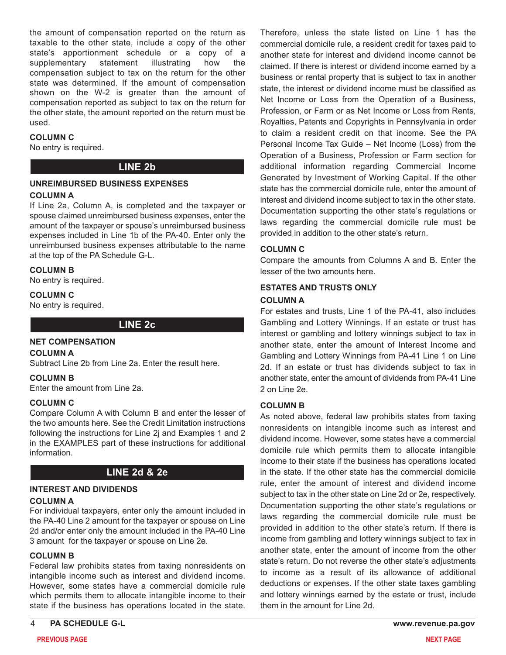the amount of compensation reported on the return as taxable to the other state, include a copy of the other state's apportionment schedule or a copy of a supplementary statement illustrating how the compensation subject to tax on the return for the other state was determined. If the amount of compensation shown on the W-2 is greater than the amount of compensation reported as subject to tax on the return for the other state, the amount reported on the return must be used.

#### **COLUMN C**

No entry is required.

# **LINE 2b**

#### **UNREIMBURSED BUSINESS EXPENSES**

#### **COLUMN A**

If Line 2a, Column A, is completed and the taxpayer or spouse claimed unreimbursed business expenses, enter the amount of the taxpayer or spouse's unreimbursed business expenses included in Line 1b of the PA-40. Enter only the unreimbursed business expenses attributable to the name at the top of the PA Schedule G-L.

#### **COLUMN B**

No entry is required.

#### **COLUMN C**

No entry is required.

#### **LINE 2c**

#### **NET COMPENSATION**

#### **COLUMN A**

Subtract Line 2b from Line 2a. Enter the result here.

#### **COLUMN B**

Enter the amount from Line 2a.

#### **COLUMN C**

Compare Column A with Column B and enter the lesser of the two amounts here. See the Credit Limitation instructions following the instructions for Line 2j and Examples 1 and 2 in the EXAMPLES part of these instructions for additional information.

# **LINE 2d & 2e**

# **INTEREST AND DIVIDENDS**

#### **COLUMN A**

For individual taxpayers, enter only the amount included in the PA-40 Line 2 amount for the taxpayer or spouse on Line 2d and/or enter only the amount included in the PA-40 Line 3 amount for the taxpayer or spouse on Line 2e.

#### **COLUMN B**

Federal law prohibits states from taxing nonresidents on intangible income such as interest and dividend income. However, some states have a commercial domicile rule which permits them to allocate intangible income to their state if the business has operations located in the state.

Therefore, unless the state listed on Line 1 has the commercial domicile rule, a resident credit for taxes paid to another state for interest and dividend income cannot be claimed. If there is interest or dividend income earned by a business or rental property that is subject to tax in another state, the interest or dividend income must be classified as Net Income or Loss from the Operation of a Business, Profession, or Farm or as Net Income or Loss from Rents, Royalties, Patents and Copyrights in Pennsylvania in order to claim a resident credit on that income. See the PA Personal Income Tax Guide – Net Income (Loss) from the Operation of a Business, Profession or Farm section for additional information regarding Commercial Income Generated by Investment of Working Capital. If the other state has the commercial domicile rule, enter the amount of interest and dividend income subject to tax in the other state. Documentation supporting the other state's regulations or laws regarding the commercial domicile rule must be provided in addition to the other state's return.

#### **COLUMN C**

Compare the amounts from Columns A and B. Enter the lesser of the two amounts here.

#### **ESTATES AND TRUSTS ONLY**

#### **COLUMN A**

For estates and trusts, Line 1 of the PA-41, also includes Gambling and Lottery Winnings. If an estate or trust has interest or gambling and lottery winnings subject to tax in another state, enter the amount of Interest Income and Gambling and Lottery Winnings from PA-41 Line 1 on Line 2d. If an estate or trust has dividends subject to tax in another state, enter the amount of dividends from PA-41 Line 2 on Line 2e.

#### **COLUMN B**

As noted above, federal law prohibits states from taxing nonresidents on intangible income such as interest and dividend income. However, some states have a commercial domicile rule which permits them to allocate intangible income to their state if the business has operations located in the state. If the other state has the commercial domicile rule, enter the amount of interest and dividend income subject to tax in the other state on Line 2d or 2e, respectively. Documentation supporting the other state's regulations or laws regarding the commercial domicile rule must be provided in addition to the other state's return. If there is income from gambling and lottery winnings subject to tax in another state, enter the amount of income from the other state's return. Do not reverse the other state's adjustments to income as a result of its allowance of additional deductions or expenses. If the other state taxes gambling and lottery winnings earned by the estate or trust, include them in the amount for Line 2d.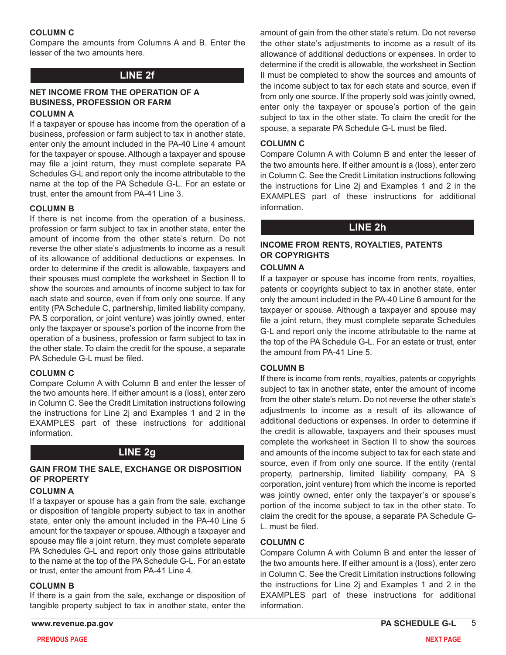#### **COLUMN C**

Compare the amounts from Columns A and B. Enter the lesser of the two amounts here.

# **LINE 2f**

#### **NET INCOME FROM THE OPERATION OF A BUSINESS, PROFESSION OR FARM COLUMN A**

If a taxpayer or spouse has income from the operation of a business, profession or farm subject to tax in another state, enter only the amount included in the PA-40 Line 4 amount for the taxpayer or spouse. Although a taxpayer and spouse may file a joint return, they must complete separate PA Schedules G-L and report only the income attributable to the name at the top of the PA Schedule G-L. For an estate or trust, enter the amount from PA-41 Line 3.

#### **COLUMN B**

If there is net income from the operation of a business, profession or farm subject to tax in another state, enter the amount of income from the other state's return. Do not reverse the other state's adjustments to income as a result of its allowance of additional deductions or expenses. In order to determine if the credit is allowable, taxpayers and their spouses must complete the worksheet in Section II to show the sources and amounts of income subject to tax for each state and source, even if from only one source. If any entity (PA Schedule C, partnership, limited liability company, PA S corporation, or joint venture) was jointly owned, enter only the taxpayer or spouse's portion of the income from the operation of a business, profession or farm subject to tax in the other state. To claim the credit for the spouse, a separate PA Schedule G-L must be filed.

#### **COLUMN C**

Compare Column A with Column B and enter the lesser of the two amounts here. If either amount is a (loss), enter zero in Column C. See the Credit Limitation instructions following the instructions for Line 2j and Examples 1 and 2 in the EXAMPLES part of these instructions for additional information.

# **LINE 2g**

#### **GAIN FROM THE SALE, EXCHANGE OR DISPOSITION OF PROPERTY**

#### **COLUMN A**

If a taxpayer or spouse has a gain from the sale, exchange or disposition of tangible property subject to tax in another state, enter only the amount included in the PA-40 Line 5 amount for the taxpayer or spouse. Although a taxpayer and spouse may file a joint return, they must complete separate PA Schedules G-L and report only those gains attributable to the name at the top of the PA Schedule G-L. For an estate or trust, enter the amount from PA-41 Line 4.

#### **COLUMN B**

If there is a gain from the sale, exchange or disposition of tangible property subject to tax in another state, enter the

amount of gain from the other state's return. Do not reverse the other state's adjustments to income as a result of its allowance of additional deductions or expenses. In order to determine if the credit is allowable, the worksheet in Section II must be completed to show the sources and amounts of the income subject to tax for each state and source, even if from only one source. If the property sold was jointly owned, enter only the taxpayer or spouse's portion of the gain subject to tax in the other state. To claim the credit for the spouse, a separate PA Schedule G-L must be filed.

#### **COLUMN C**

Compare Column A with Column B and enter the lesser of the two amounts here. If either amount is a (loss), enter zero in Column C. See the Credit Limitation instructions following the instructions for Line 2j and Examples 1 and 2 in the EXAMPLES part of these instructions for additional information.

# **LINE 2h**

# **INCOME FROM RENTS, ROYALTIES, PATENTS OR COPYRIGHTS**

#### **COLUMN A**

If a taxpayer or spouse has income from rents, royalties, patents or copyrights subject to tax in another state, enter only the amount included in the PA-40 Line 6 amount for the taxpayer or spouse. Although a taxpayer and spouse may file a joint return, they must complete separate Schedules G-L and report only the income attributable to the name at the top of the PA Schedule G-L. For an estate or trust, enter the amount from PA-41 Line 5.

#### **COLUMN B**

If there is income from rents, royalties, patents or copyrights subject to tax in another state, enter the amount of income from the other state's return. Do not reverse the other state's adjustments to income as a result of its allowance of additional deductions or expenses. In order to determine if the credit is allowable, taxpayers and their spouses must complete the worksheet in Section II to show the sources and amounts of the income subject to tax for each state and source, even if from only one source. If the entity (rental property, partnership, limited liability company, PA S corporation, joint venture) from which the income is reported was jointly owned, enter only the taxpayer's or spouse's portion of the income subject to tax in the other state. To claim the credit for the spouse, a separate PA Schedule G-L. must be filed.

#### **COLUMN C**

Compare Column A with Column B and enter the lesser of the two amounts here. If either amount is a (loss), enter zero in Column C. See the Credit Limitation instructions following the instructions for Line 2j and Examples 1 and 2 in the EXAMPLES part of these instructions for additional information.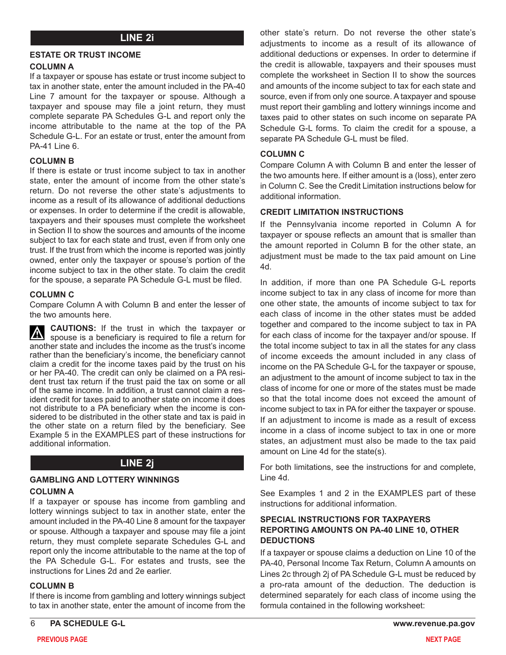# **LINE 2i**

#### **ESTATE OR TRUST INCOME**

#### **COLUMN A**

If a taxpayer or spouse has estate or trust income subject to tax in another state, enter the amount included in the PA-40 Line 7 amount for the taxpayer or spouse. Although a taxpayer and spouse may file a joint return, they must complete separate PA Schedules G-L and report only the income attributable to the name at the top of the PA Schedule G-L. For an estate or trust, enter the amount from PA-41 Line 6.

#### **COLUMN B**

If there is estate or trust income subject to tax in another state, enter the amount of income from the other state's return. Do not reverse the other state's adjustments to income as a result of its allowance of additional deductions or expenses. In order to determine if the credit is allowable, taxpayers and their spouses must complete the worksheet in Section II to show the sources and amounts of the income subject to tax for each state and trust, even if from only one trust. If the trust from which the income is reported was jointly owned, enter only the taxpayer or spouse's portion of the income subject to tax in the other state. To claim the credit for the spouse, a separate PA Schedule G-L must be filed.

#### **COLUMN C**

Compare Column A with Column B and enter the lesser of the two amounts here.

**CAUTIONS:** If the trust in which the taxpayer or  $\vert\Delta\vert$ spouse is a beneficiary is required to file a return for another state and includes the income as the trust's income rather than the beneficiary's income, the beneficiary cannot claim a credit for the income taxes paid by the trust on his or her PA-40. The credit can only be claimed on a PA resident trust tax return if the trust paid the tax on some or all of the same income. In addition, a trust cannot claim a resident credit for taxes paid to another state on income it does not distribute to a PA beneficiary when the income is considered to be distributed in the other state and tax is paid in the other state on a return filed by the beneficiary. See Example 5 in the EXAMPLES part of these instructions for additional information.

# **LINE 2j**

#### **GAMBLING AND LOTTERY WINNINGS COLUMN A**

If a taxpayer or spouse has income from gambling and lottery winnings subject to tax in another state, enter the amount included in the PA-40 Line 8 amount for the taxpayer or spouse. Although a taxpayer and spouse may file a joint return, they must complete separate Schedules G-L and report only the income attributable to the name at the top of the PA Schedule G-L. For estates and trusts, see the instructions for Lines 2d and 2e earlier.

#### **COLUMN B**

If there is income from gambling and lottery winnings subject to tax in another state, enter the amount of income from the

other state's return. Do not reverse the other state's adjustments to income as a result of its allowance of additional deductions or expenses. In order to determine if the credit is allowable, taxpayers and their spouses must complete the worksheet in Section II to show the sources and amounts of the income subject to tax for each state and source, even if from only one source. A taxpayer and spouse must report their gambling and lottery winnings income and taxes paid to other states on such income on separate PA Schedule G-L forms. To claim the credit for a spouse, a separate PA Schedule G-L must be filed.

#### **COLUMN C**

Compare Column A with Column B and enter the lesser of the two amounts here. If either amount is a (loss), enter zero in Column C. See the Credit Limitation instructions below for additional information.

#### **CREDIT LIMITATION INSTRUCTIONS**

If the Pennsylvania income reported in Column A for taxpayer or spouse reflects an amount that is smaller than the amount reported in Column B for the other state, an adjustment must be made to the tax paid amount on Line 4d.

In addition, if more than one PA Schedule G-L reports income subject to tax in any class of income for more than one other state, the amounts of income subject to tax for each class of income in the other states must be added together and compared to the income subject to tax in PA for each class of income for the taxpayer and/or spouse. If the total income subject to tax in all the states for any class of income exceeds the amount included in any class of income on the PA Schedule G-L for the taxpayer or spouse, an adjustment to the amount of income subject to tax in the class of income for one or more of the states must be made so that the total income does not exceed the amount of income subject to tax in PA for either the taxpayer or spouse. If an adjustment to income is made as a result of excess income in a class of income subject to tax in one or more states, an adjustment must also be made to the tax paid amount on Line 4d for the state(s).

For both limitations, see the instructions for and complete, Line 4d.

See Examples 1 and 2 in the EXAMPLES part of these instructions for additional information.

#### **SPECIAL INSTRUCTIONS FOR TAXPAYERS REPORTING AMOUNTS ON PA-40 LINE 10, OTHER DEDUCTIONS**

If a taxpayer or spouse claims a deduction on Line 10 of the PA-40, Personal Income Tax Return, Column A amounts on Lines 2c through 2j of PA Schedule G-L must be reduced by a pro-rata amount of the deduction. The deduction is determined separately for each class of income using the formula contained in the following worksheet: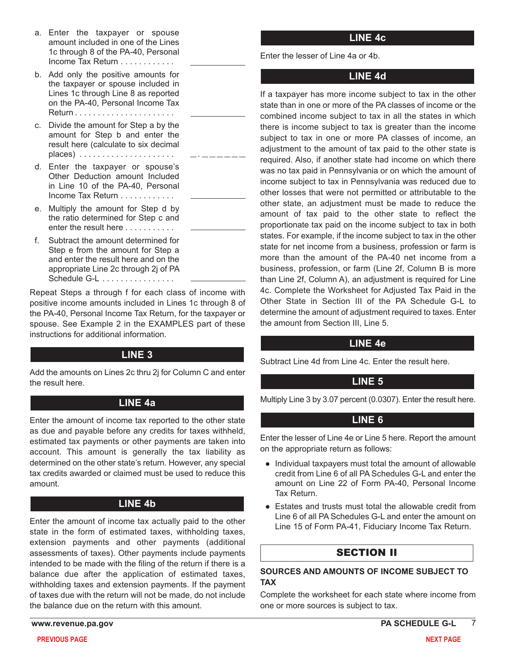- a. Enter the taxpayer or spouse amount included in one of the Lines 1c through 8 of the PA-40, Personal Income Tax Return . . . . . . . . . . . .
- b. Add only the positive amounts for the taxpayer or spouse included in Lines 1c through Line 8 as reported on the PA-40, Personal Income Tax Return . . . . . . . . . . . . . . . . . . . . . .
- c. Divide the amount for Step a by the amount for Step b and enter the result here (calculate to six decimal places) . . . . . . . . . . . . . . . . . . . . .
- d. Enter the taxpayer or spouse's Other Deduction amount Included in Line 10 of the PA-40, Personal Income Tax Return . . . . . . . . . . . .
- e. Multiply the amount for Step d by the ratio determined for Step c and enter the result here . . . . . . . . . . .
- f. Subtract the amount determined for Step e from the amount for Step a and enter the result here and on the appropriate Line 2c through 2j of PA Schedule  $G-L$  ................

Repeat Steps a through f for each class of income with positive income amounts included in Lines 1c through 8 of the PA-40, Personal Income Tax Return, for the taxpayer or spouse. See Example 2 in the EXAMPLES part of these instructions for additional information.

.

# **LINE 3**

Add the amounts on Lines 2c thru 2j for Column C and enter the result here.

# **LINE 4a**

Enter the amount of income tax reported to the other state as due and payable before any credits for taxes withheld, estimated tax payments or other payments are taken into account. This amount is generally the tax liability as determined on the other state's return. However, any special tax credits awarded or claimed must be used to reduce this amount.

# **LINE 4b**

Enter the amount of income tax actually paid to the other state in the form of estimated taxes, withholding taxes, extension payments and other payments (additional assessments of taxes). Other payments include payments intended to be made with the filing of the return if there is a balance due after the application of estimated taxes, withholding taxes and extension payments. If the payment of taxes due with the return will not be made, do not include the balance due on the return with this amount.

# **LINE 4c**

Enter the lesser of Line 4a or 4b.

# **LINE 4d**

If a taxpayer has more income subject to tax in the other state than in one or more of the PA classes of income or the combined income subject to tax in all the states in which there is income subject to tax is greater than the income subject to tax in one or more PA classes of income, an adjustment to the amount of tax paid to the other state is required. Also, if another state had income on which there was no tax paid in Pennsylvania or on which the amount of income subject to tax in Pennsylvania was reduced due to other losses that were not permitted or attributable to the other state, an adjustment must be made to reduce the amount of tax paid to the other state to reflect the proportionate tax paid on the income subject to tax in both states. For example, if the income subject to tax in the other state for net income from a business, profession or farm is more than the amount of the PA-40 net income from a business, profession, or farm (Line 2f, Column B is more than Line 2f, Column A), an adjustment is required for Line 4c. Complete the Worksheet for Adjusted Tax Paid in the Other State in Section III of the PA Schedule G-L to determine the amount of adjustment required to taxes. Enter the amount from Section III, Line 5.

# **LINE 4e**

Subtract Line 4d from Line 4c. Enter the result here.

# **LINE 5**

Multiply Line 3 by 3.07 percent (0.0307). Enter the result here.

# **LINE 6**

Enter the lesser of Line 4e or Line 5 here. Report the amount on the appropriate return as follows:

- Individual taxpayers must total the amount of allowable credit from Line 6 of all PA Schedules G-L and enter the amount on Line 22 of Form PA-40, Personal Income Tax Return.
- Estates and trusts must total the allowable credit from Line 6 of all PA Schedules G-L and enter the amount on Line 15 of Form PA-41, Fiduciary Income Tax Return.

# SECTION II

#### **SOURCES AND AMOUNTS OF INCOME SUBJECT TO TAX**

Complete the worksheet for each state where income from one or more sources is subject to tax.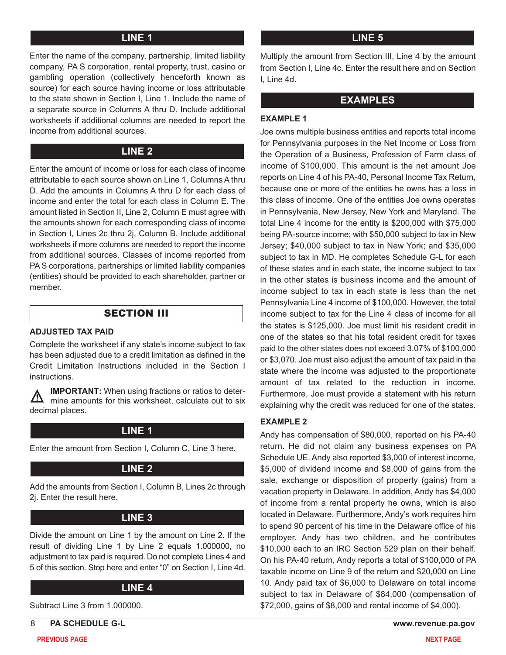# **LINE 1**

Enter the name of the company, partnership, limited liability company, PA S corporation, rental property, trust, casino or gambling operation (collectively henceforth known as source) for each source having income or loss attributable to the state shown in Section I, Line 1. Include the name of a separate source in Columns A thru D. Include additional worksheets if additional columns are needed to report the income from additional sources.

# **LINE 2**

Enter the amount of income or loss for each class of income attributable to each source shown on Line 1, Columns A thru D. Add the amounts in Columns A thru D for each class of income and enter the total for each class in Column E. The amount listed in Section II, Line 2, Column E must agree with the amounts shown for each corresponding class of income in Section I, Lines 2c thru 2j, Column B. Include additional worksheets if more columns are needed to report the income from additional sources. Classes of income reported from PA S corporations, partnerships or limited liability companies (entities) should be provided to each shareholder, partner or member.

# SECTION III

#### **ADJUSTED TAX PAID**

Complete the worksheet if any state's income subject to tax has been adjusted due to a credit limitation as defined in the Credit Limitation Instructions included in the Section I instructions.

**IMPORTANT:** When using fractions or ratios to deter- $\sqrt{\Lambda}$ mine amounts for this worksheet, calculate out to six decimal places.

# **LINE 1**

Enter the amount from Section I, Column C, Line 3 here.

# **LINE 2**

Add the amounts from Section I, Column B, Lines 2c through 2j. Enter the result here.

# **LINE 3**

Divide the amount on Line 1 by the amount on Line 2. If the result of dividing Line 1 by Line 2 equals 1.000000, no adjustment to tax paid is required. Do not complete Lines 4 and 5 of this section. Stop here and enter "0" on Section I, Line 4d.

#### **LINE 4**

Subtract Line 3 from 1.000000.

8 **PA SCHEDULE G-L www.revenue.pa.gov**

# **LINE 5**

Multiply the amount from Section III, Line 4 by the amount from Section I, Line 4c. Enter the result here and on Section I, Line 4d.

# **EXAMPLES**

#### **EXAMPLE 1**

Joe owns multiple business entities and reports total income for Pennsylvania purposes in the Net Income or Loss from the Operation of a Business, Profession of Farm class of income of \$100,000. This amount is the net amount Joe reports on Line 4 of his PA-40, Personal Income Tax Return, because one or more of the entities he owns has a loss in this class of income. One of the entities Joe owns operates in Pennsylvania, New Jersey, New York and Maryland. The total Line 4 income for the entity is \$200,000 with \$75,000 being PA-source income; with \$50,000 subject to tax in New Jersey; \$40,000 subject to tax in New York; and \$35,000 subject to tax in MD. He completes Schedule G-L for each of these states and in each state, the income subject to tax in the other states is business income and the amount of income subject to tax in each state is less than the net Pennsylvania Line 4 income of \$100,000. However, the total income subject to tax for the Line 4 class of income for all the states is \$125,000. Joe must limit his resident credit in one of the states so that his total resident credit for taxes paid to the other states does not exceed 3.07% of \$100,000 or \$3,070. Joe must also adjust the amount of tax paid in the state where the income was adjusted to the proportionate amount of tax related to the reduction in income. Furthermore, Joe must provide a statement with his return explaining why the credit was reduced for one of the states.

# **EXAMPLE 2**

Andy has compensation of \$80,000, reported on his PA-40 return. He did not claim any business expenses on PA Schedule UE. Andy also reported \$3,000 of interest income, \$5,000 of dividend income and \$8,000 of gains from the sale, exchange or disposition of property (gains) from a vacation property in Delaware. In addition, Andy has \$4,000 of income from a rental property he owns, which is also located in Delaware. Furthermore, Andy's work requires him to spend 90 percent of his time in the Delaware office of his employer. Andy has two children, and he contributes \$10,000 each to an IRC Section 529 plan on their behalf. On his PA-40 return, Andy reports a total of \$100,000 of PA taxable income on Line 9 of the return and \$20,000 on Line 10. Andy paid tax of \$6,000 to Delaware on total income subject to tax in Delaware of \$84,000 (compensation of \$72,000, gains of \$8,000 and rental income of \$4,000).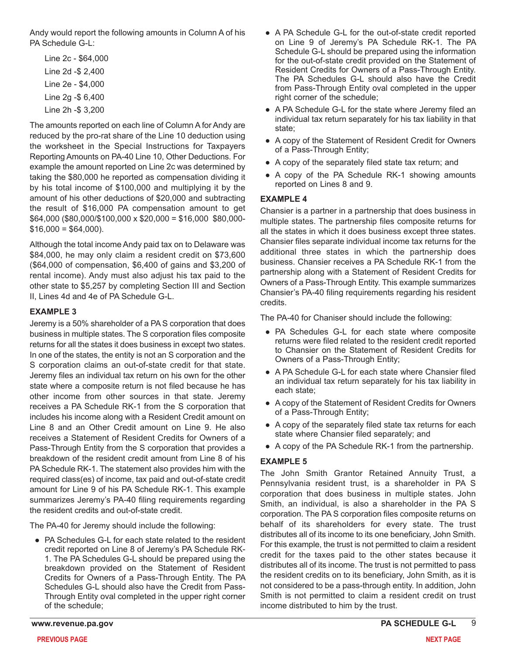Andy would report the following amounts in Column A of his PA Schedule G-L:

Line 2c - \$64,000 Line 2d -\$ 2,400 Line 2e - \$4,000 Line 2g -\$ 6,400 Line 2h -\$ 3,200

The amounts reported on each line of Column A for Andy are reduced by the pro-rat share of the Line 10 deduction using the worksheet in the Special Instructions for Taxpayers Reporting Amounts on PA-40 Line 10, Other Deductions. For example the amount reported on Line 2c was determined by taking the \$80,000 he reported as compensation dividing it by his total income of \$100,000 and multiplying it by the amount of his other deductions of \$20,000 and subtracting the result of \$16,000 PA compensation amount to get \$64,000 (\$80,000/\$100,000 x \$20,000 = \$16,000 \$80,000-  $$16,000 = $64,000$ ).

Although the total income Andy paid tax on to Delaware was \$84,000, he may only claim a resident credit on \$73,600 (\$64,000 of compensation, \$6,400 of gains and \$3,200 of rental income). Andy must also adjust his tax paid to the other state to \$5,257 by completing Section III and Section II, Lines 4d and 4e of PA Schedule G-L.

# **EXAMPLE 3**

Jeremy is a 50% shareholder of a PA S corporation that does business in multiple states. The S corporation files composite returns for all the states it does business in except two states. In one of the states, the entity is not an S corporation and the S corporation claims an out-of-state credit for that state. Jeremy files an individual tax return on his own for the other state where a composite return is not filed because he has other income from other sources in that state. Jeremy receives a PA Schedule RK-1 from the S corporation that includes his income along with a Resident Credit amount on Line 8 and an Other Credit amount on Line 9. He also receives a Statement of Resident Credits for Owners of a Pass-Through Entity from the S corporation that provides a breakdown of the resident credit amount from Line 8 of his PA Schedule RK-1. The statement also provides him with the required class(es) of income, tax paid and out-of-state credit amount for Line 9 of his PA Schedule RK-1. This example summarizes Jeremy's PA-40 filing requirements regarding the resident credits and out-of-state credit.

The PA-40 for Jeremy should include the following:

● PA Schedules G-L for each state related to the resident credit reported on Line 8 of Jeremy's PA Schedule RK-1. The PA Schedules G-L should be prepared using the breakdown provided on the Statement of Resident Credits for Owners of a Pass-Through Entity. The PA Schedules G-L should also have the Credit from Pass-Through Entity oval completed in the upper right corner of the schedule;

- A PA Schedule G-L for the out-of-state credit reported on Line 9 of Jeremy's PA Schedule RK-1. The PA Schedule G-L should be prepared using the information for the out-of-state credit provided on the Statement of Resident Credits for Owners of a Pass-Through Entity. The PA Schedules G-L should also have the Credit from Pass-Through Entity oval completed in the upper right corner of the schedule;
- A PA Schedule G-L for the state where Jeremy filed an individual tax return separately for his tax liability in that state;
- A copy of the Statement of Resident Credit for Owners of a Pass-Through Entity;
- A copy of the separately filed state tax return; and
- A copy of the PA Schedule RK-1 showing amounts reported on Lines 8 and 9.

#### **EXAMPLE 4**

Chansier is a partner in a partnership that does business in multiple states. The partnership files composite returns for all the states in which it does business except three states. Chansier files separate individual income tax returns for the additional three states in which the partnership does business. Chansier receives a PA Schedule RK-1 from the partnership along with a Statement of Resident Credits for Owners of a Pass-Through Entity. This example summarizes Chansier's PA-40 filing requirements regarding his resident credits.

The PA-40 for Chaniser should include the following:

- PA Schedules G-L for each state where composite returns were filed related to the resident credit reported to Chansier on the Statement of Resident Credits for Owners of a Pass-Through Entity;
- A PA Schedule G-L for each state where Chansier filed an individual tax return separately for his tax liability in each state;
- A copy of the Statement of Resident Credits for Owners of a Pass-Through Entity;
- A copy of the separately filed state tax returns for each state where Chansier filed separately; and
- A copy of the PA Schedule RK-1 from the partnership.

# **EXAMPLE 5**

The John Smith Grantor Retained Annuity Trust, a Pennsylvania resident trust, is a shareholder in PA S corporation that does business in multiple states. John Smith, an individual, is also a shareholder in the PA S corporation. The PA S corporation files composite returns on behalf of its shareholders for every state. The trust distributes all of its income to its one beneficiary, John Smith. For this example, the trust is not permitted to claim a resident credit for the taxes paid to the other states because it distributes all of its income. The trust is not permitted to pass the resident credits on to its beneficiary, John Smith, as it is not considered to be a pass-through entity. In addition, John Smith is not permitted to claim a resident credit on trust income distributed to him by the trust.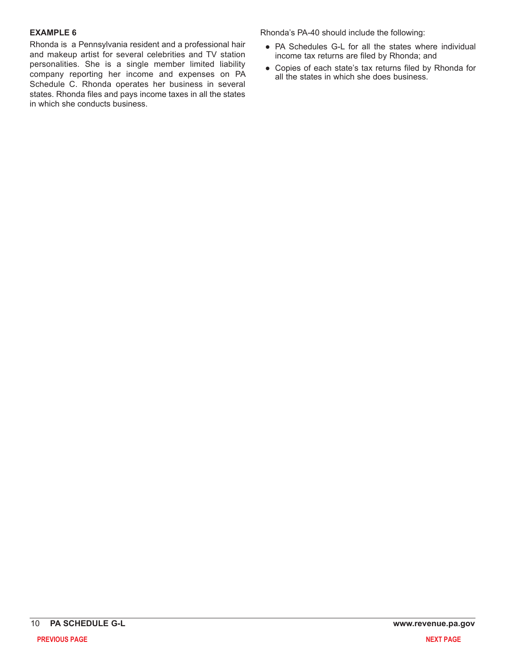#### **EXAMPLE 6**

Rhonda is a Pennsylvania resident and a professional hair and makeup artist for several celebrities and TV station personalities. She is a single member limited liability company reporting her income and expenses on PA Schedule C. Rhonda operates her business in several states. Rhonda files and pays income taxes in all the states in which she conducts business.

Rhonda's PA-40 should include the following:

- PA Schedules G-L for all the states where individual income tax returns are filed by Rhonda; and
- Copies of each state's tax returns filed by Rhonda for all the states in which she does business.